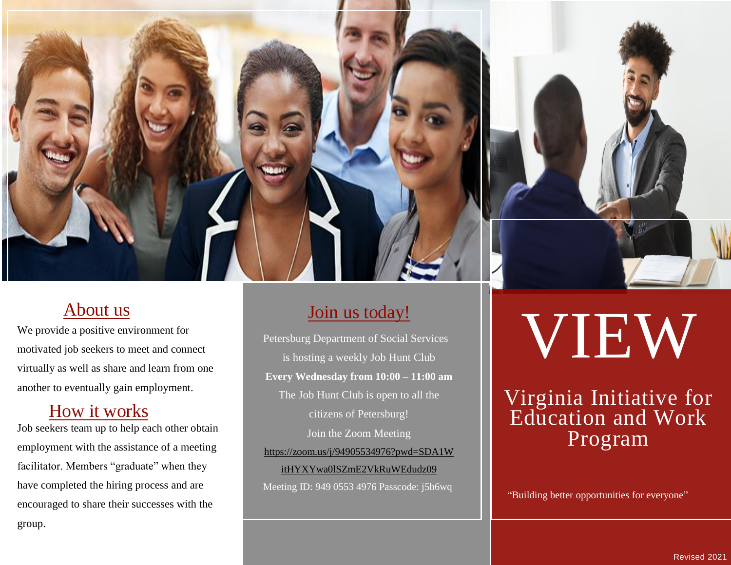

### About us

We provide a positive environment for motivated job seekers to meet and connect virtually as well as share and learn from one another to eventually gain employment.

### How it works

Job seekers team up to help each other obtain employment with the assistance of a meeting facilitator. Members "graduate" when they have completed the hiring process and are encouraged to share their successes with the group.

### Join us today!

Petersburg Department of Social Services is hosting a weekly Job Hunt Club **Every Wednesday from 10:00 – 11:00 am** The Job Hunt Club is open to all the citizens of Petersburg! Join the Zoom Meeting [https://zoom.us/j/94905534976?pwd=SDA1W](https://www.google.com/url?q=https://zoom.us/j/94905534976?pwd%3DSDA1WitHYXYwa0lSZmE2VkRuWEdudz09&sa=D&source=calendar&ust=1613969982811000&usg=AOvVaw2OdavUPC4Kw02zlKguU6ZH)

[itHYXYwa0lSZmE2VkRuWEdudz09](https://www.google.com/url?q=https://zoom.us/j/94905534976?pwd%3DSDA1WitHYXYwa0lSZmE2VkRuWEdudz09&sa=D&source=calendar&ust=1613969982811000&usg=AOvVaw2OdavUPC4Kw02zlKguU6ZH) Meeting ID: 949 0553 4976 Passcode: j5h6wq

# VIEW

# Virginia Initiative for Education and Work Program

"Building better opportunities for everyone"